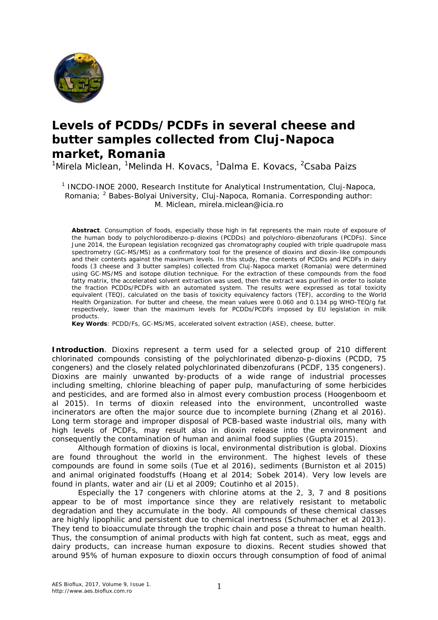

## **Levels of PCDDs/PCDFs in several cheese and butter samples collected from Cluj-Napoca market, Romania**

<sup>1</sup>Mirela Miclean, <sup>1</sup>Melinda H. Kovacs, <sup>1</sup>Dalma E. Kovacs, <sup>2</sup>Csaba Paizs

<sup>1</sup> INCDO-INOE 2000, Research Institute for Analytical Instrumentation, Cluj-Napoca, Romania; <sup>2</sup> Babes-Bolyai University, Cluj-Napoca, Romania. Corresponding author: M. Miclean, mirela.miclean@icia.ro

**Abstract**. Consumption of foods, especially those high in fat represents the main route of exposure of the human body to polychlorodibenzo-p-dioxins (PCDDs) and polychloro-dibenzofurans (PCDFs). Since June 2014, the European legislation recognized gas chromatography coupled with triple quadrupole mass spectrometry (GC-MS/MS) as a confirmatory tool for the presence of dioxins and dioxin-like compounds and their contents against the maximum levels. In this study, the contents of PCDDs and PCDFs in dairy foods (3 cheese and 3 butter samples) collected from Cluj-Napoca market (Romania) were determined using GC-MS/MS and isotope dilution technique. For the extraction of these compounds from the food fatty matrix, the accelerated solvent extraction was used, then the extract was purified in order to isolate the fraction PCDDs/PCDFs with an automated system. The results were expressed as total toxicity equivalent (TEQ), calculated on the basis of toxicity equivalency factors (TEF), according to the World Health Organization. For butter and cheese, the mean values were 0.060 and 0.134 pg WHO-TEQ/g fat respectively, lower than the maximum levels for PCDDs/PCDFs imposed by EU legislation in milk products.

**Key Words**: PCDD/Fs, GC-MS/MS, accelerated solvent extraction (ASE), cheese, butter.

**Introduction**. Dioxins represent a term used for a selected group of 210 different chlorinated compounds consisting of the polychlorinated dibenzo-p-dioxins (PCDD, 75 congeners) and the closely related polychlorinated dibenzofurans (PCDF, 135 congeners). Dioxins are mainly unwanted by-products of a wide range of industrial processes including smelting, chlorine bleaching of paper pulp, manufacturing of some herbicides and pesticides, and are formed also in almost every combustion process (Hoogenboom et al 2015). In terms of dioxin released into the environment, uncontrolled waste incinerators are often the major source due to incomplete burning (Zhang et al 2016). Long term storage and improper disposal of PCB-based waste industrial oils, many with high levels of PCDFs, may result also in dioxin release into the environment and consequently the contamination of human and animal food supplies (Gupta 2015).

Although formation of dioxins is local, environmental distribution is global. Dioxins are found throughout the world in the environment. The highest levels of these compounds are found in some soils (Tue et al 2016), sediments (Burniston et al 2015) and animal originated foodstuffs (Hoang et al 2014; Sobek 2014). Very low levels are found in plants, water and air (Li et al 2009; Coutinho et al 2015).

Especially the 17 congeners with chlorine atoms at the 2, 3, 7 and 8 positions appear to be of most importance since they are relatively resistant to metabolic degradation and they accumulate in the body. All compounds of these chemical classes are highly lipophilic and persistent due to chemical inertness (Schuhmacher et al 2013). They tend to bioaccumulate through the trophic chain and pose a threat to human health. Thus, the consumption of animal products with high fat content, such as meat, eggs and dairy products, can increase human exposure to dioxins. Recent studies showed that around 95% of human exposure to dioxin occurs through consumption of food of animal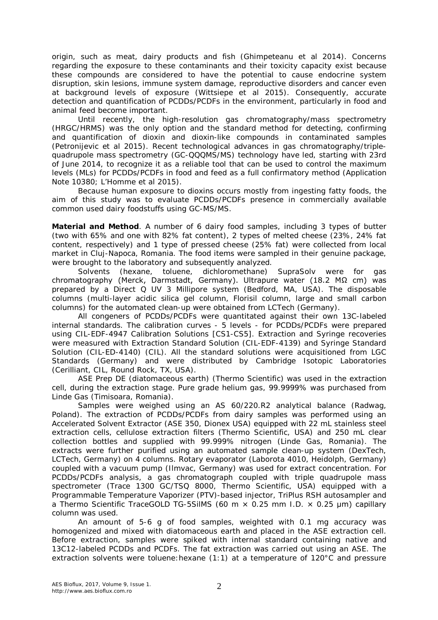origin, such as meat, dairy products and fish (Ghimpeteanu et al 2014). Concerns regarding the exposure to these contaminants and their toxicity capacity exist because these compounds are considered to have the potential to cause endocrine system disruption, skin lesions, immune system damage, reproductive disorders and cancer even at background levels of exposure (Wittsiepe et al 2015). Consequently, accurate detection and quantification of PCDDs/PCDFs in the environment, particularly in food and animal feed become important.

Until recently, the high-resolution gas chromatography/mass spectrometry (HRGC/HRMS) was the only option and the standard method for detecting, confirming and quantification of dioxin and dioxin-like compounds in contaminated samples (Petronijevic et al 2015). Recent technological advances in gas chromatography/triplequadrupole mass spectrometry (GC-QQQMS/MS) technology have led, starting with 23rd of June 2014, to recognize it as a reliable tool that can be used to control the maximum levels (MLs) for PCDDs/PCDFs in food and feed as a full confirmatory method (Application Note 10380; L'Homme et al 2015).

Because human exposure to dioxins occurs mostly from ingesting fatty foods, the aim of this study was to evaluate PCDDs/PCDFs presence in commercially available common used dairy foodstuffs using GC-MS/MS.

**Material and Method**. A number of 6 dairy food samples, including 3 types of butter (two with 65% and one with 82% fat content), 2 types of melted cheese (23%, 24% fat content, respectively) and 1 type of pressed cheese (25% fat) were collected from local market in Cluj-Napoca, Romania. The food items were sampled in their genuine package, were brought to the laboratory and subsequently analyzed.

Solvents (hexane, toluene, dichloromethane) SupraSolv were for gas chromatography (Merck, Darmstadt, Germany). Ultrapure water (18.2 MΩ cm) was prepared by a Direct Q UV 3 Millipore system (Bedford, MA, USA). The disposable columns (multi-layer acidic silica gel column, Florisil column, large and small carbon columns) for the automated clean-up were obtained from LCTech (Germany).

All congeners of PCDDs/PCDFs were quantitated against their own 13C-labeled internal standards. The calibration curves - 5 levels - for PCDDs/PCDFs were prepared using CIL-EDF-4947 Calibration Solutions [CS1-CS5]. Extraction and Syringe recoveries were measured with Extraction Standard Solution (CIL-EDF-4139) and Syringe Standard Solution (CIL-ED-4140) (CIL). All the standard solutions were acquisitioned from LGC Standards (Germany) and were distributed by Cambridge Isotopic Laboratories (Cerilliant, CIL, Round Rock, TX, USA).

ASE Prep DE (diatomaceous earth) (Thermo Scientific) was used in the extraction cell, during the extraction stage. Pure grade helium gas, 99.9999% was purchased from Linde Gas (Timisoara, Romania).

Samples were weighed using an AS 60/220.R2 analytical balance (Radwag, Poland). The extraction of PCDDs/PCDFs from dairy samples was performed using an Accelerated Solvent Extractor (ASE 350, Dionex USA) equipped with 22 mL stainless steel extraction cells, cellulose extraction filters (Thermo Scientific, USA) and 250 mL clear collection bottles and supplied with 99.999% nitrogen (Linde Gas, Romania). The extracts were further purified using an automated sample clean-up system (DexTech, LCTech, Germany) on 4 columns. Rotary evaporator (Laborota 4010, Heidolph, Germany) coupled with a vacuum pump (Ilmvac, Germany) was used for extract concentration. For PCDDs/PCDFs analysis, a gas chromatograph coupled with triple quadrupole mass spectrometer (Trace 1300 GC/TSQ 8000, Thermo Scientific, USA) equipped with a Programmable Temperature Vaporizer (PTV)-based injector, TriPlus RSH autosampler and a Thermo Scientific TraceGOLD TG-5SilMS (60 m  $\times$  0.25 mm I.D.  $\times$  0.25 µm) capillary column was used.

An amount of 5-6 g of food samples, weighted with 0.1 mg accuracy was homogenized and mixed with diatomaceous earth and placed in the ASE extraction cell. Before extraction, samples were spiked with internal standard containing native and 13C12-labeled PCDDs and PCDFs. The fat extraction was carried out using an ASE. The extraction solvents were toluene: hexane (1:1) at a temperature of 120°C and pressure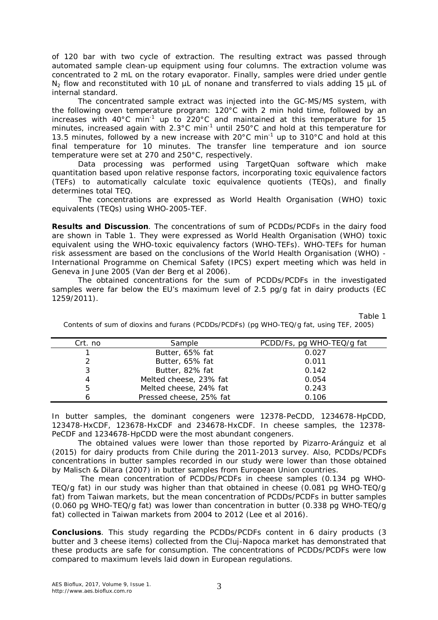of 120 bar with two cycle of extraction. The resulting extract was passed through automated sample clean-up equipment using four columns. The extraction volume was concentrated to 2 mL on the rotary evaporator. Finally, samples were dried under gentle  $N_2$  flow and reconstituted with 10  $\mu$ L of nonane and transferred to vials adding 15  $\mu$ L of internal standard.

The concentrated sample extract was injected into the GC-MS/MS system, with the following oven temperature program: 120°C with 2 min hold time, followed by an increases with 40°C min<sup>-1</sup> up to 220°C and maintained at this temperature for 15 minutes, increased again with 2.3°C min<sup>-1</sup> until 250°C and hold at this temperature for 13.5 minutes, followed by a new increase with  $20^{\circ}$ C min<sup>-1</sup> up to 310°C and hold at this final temperature for 10 minutes. The transfer line temperature and ion source temperature were set at 270 and 250°C, respectively.

Data processing was performed using TargetQuan software which make quantitation based upon relative response factors, incorporating toxic equivalence factors (TEFs) to automatically calculate toxic equivalence quotients (TEQs), and finally determines total TEQ.

The concentrations are expressed as World Health Organisation (WHO) toxic equivalents (TEQs) using WHO-2005-TEF.

**Results and Discussion**. The concentrations of sum of PCDDs/PCDFs in the dairy food are shown in Table 1. They were expressed as World Health Organisation (WHO) toxic equivalent using the WHO-toxic equivalency factors (WHO-TEFs). WHO-TEFs for human risk assessment are based on the conclusions of the World Health Organisation (WHO) - International Programme on Chemical Safety (IPCS) expert meeting which was held in Geneva in June 2005 (Van der Berg et al 2006).

The obtained concentrations for the sum of PCDDs/PCDFs in the investigated samples were far below the EU's maximum level of 2.5 pg/g fat in dairy products (EC 1259/2011).

Table 1

| Crt. no | Sample                  | PCDD/Fs, pg WHO-TEQ/g fat |
|---------|-------------------------|---------------------------|
|         | Butter, 65% fat         | 0.027                     |
| っ       | Butter, 65% fat         | 0.011                     |
| 3       | Butter, 82% fat         | 0.142                     |
| 4       | Melted cheese, 23% fat  | 0.054                     |
| 5       | Melted cheese, 24% fat  | 0.243                     |
|         | Pressed cheese, 25% fat | 0.106                     |

Contents of sum of dioxins and furans (PCDDs/PCDFs) (pg WHO-TEQ/g fat, using TEF, 2005)

In butter samples, the dominant congeners were 12378-PeCDD, 1234678-HpCDD, 123478-HxCDF, 123678-HxCDF and 234678-HxCDF. In cheese samples, the 12378- PeCDF and 1234678-HpCDD were the most abundant congeners.

The obtained values were lower than those reported by Pizarro-Aránguiz et al (2015) for dairy products from Chile during the 2011-2013 survey. Also, PCDDs/PCDFs concentrations in butter samples recorded in our study were lower than those obtained by Malisch & Dilara (2007) in butter samples from European Union countries.

 The mean concentration of PCDDs/PCDFs in cheese samples (0.134 pg WHO-TEQ/g fat) in our study was higher than that obtained in cheese (0.081 pg WHO-TEQ/g fat) from Taiwan markets, but the mean concentration of PCDDs/PCDFs in butter samples (0.060 pg WHO-TEQ/g fat) was lower than concentration in butter (0.338 pg WHO-TEQ/g fat) collected in Taiwan markets from 2004 to 2012 (Lee et al 2016).

**Conclusions**. This study regarding the PCDDs/PCDFs content in 6 dairy products (3 butter and 3 cheese items) collected from the Cluj-Napoca market has demonstrated that these products are safe for consumption. The concentrations of PCDDs/PCDFs were low compared to maximum levels laid down in European regulations.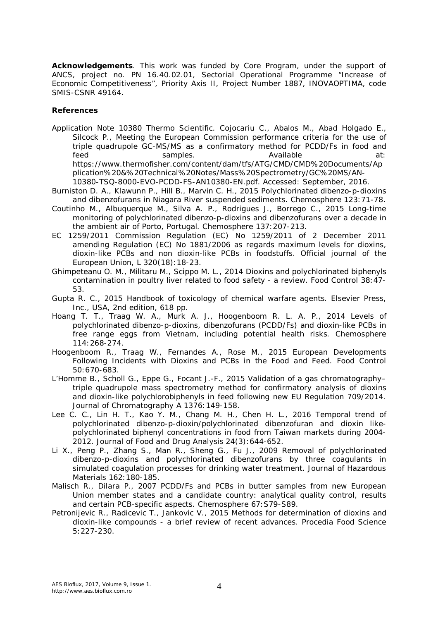**Acknowledgements**. This work was funded by Core Program, under the support of ANCS, project no. PN 16.40.02.01, Sectorial Operational Programme "Increase of Economic Competitiveness", Priority Axis II, Project Number 1887, INOVAOPTIMA, code SMIS-CSNR 49164.

## **References**

- Application Note 10380 Thermo Scientific. Cojocariu C., Abalos M., Abad Holgado E., Silcock P., Meeting the European Commission performance criteria for the use of triple quadrupole GC-MS/MS as a confirmatory method for PCDD/Fs in food and feed samples. Available at: https://www.thermofisher.com/content/dam/tfs/ATG/CMD/CMD%20Documents/Ap plication%20&%20Technical%20Notes/Mass%20Spectrometry/GC%20MS/AN-10380-TSQ-8000-EVO-PCDD-FS-AN10380-EN.pdf. Accessed: September, 2016.
- Burniston D. A., Klawunn P., Hill B., Marvin C. H., 2015 Polychlorinated dibenzo-p-dioxins and dibenzofurans in Niagara River suspended sediments. Chemosphere 123:71-78.
- Coutinho M., Albuquerque M., Silva A. P., Rodrigues J., Borrego C., 2015 Long-time monitoring of polychlorinated dibenzo-p-dioxins and dibenzofurans over a decade in the ambient air of Porto, Portugal. Chemosphere 137:207-213.
- EC 1259/2011 Commission Regulation (EC) No 1259/2011 of 2 December 2011 amending Regulation (EC) No 1881/2006 as regards maximum levels for dioxins, dioxin-like PCBs and non dioxin-like PCBs in foodstuffs. Official journal of the European Union, L 320(18):18-23.
- Ghimpeteanu O. M., Militaru M., Scippo M. L., 2014 Dioxins and polychlorinated biphenyls contamination in poultry liver related to food safety - a review. Food Control 38:47- 53.
- Gupta R. C., 2015 Handbook of toxicology of chemical warfare agents. Elsevier Press, Inc., USA, 2nd edition, 618 pp.
- Hoang T. T., Traag W. A., Murk A. J., Hoogenboom R. L. A. P., 2014 Levels of polychlorinated dibenzo-p-dioxins, dibenzofurans (PCDD/Fs) and dioxin-like PCBs in free range eggs from Vietnam, including potential health risks. Chemosphere 114:268-274.
- Hoogenboom R., Traag W., Fernandes A., Rose M., 2015 European Developments Following Incidents with Dioxins and PCBs in the Food and Feed. Food Control 50:670-683.
- L'Homme B., Scholl G., Eppe G., Focant J.-F., 2015 Validation of a gas chromatography– triple quadrupole mass spectrometry method for confirmatory analysis of dioxins and dioxin-like polychlorobiphenyls in feed following new EU Regulation 709/2014. Journal of Chromatography A 1376: 149-158.
- Lee C. C., Lin H. T., Kao Y. M., Chang M. H., Chen H. L., 2016 Temporal trend of polychlorinated dibenzo-p-dioxin/polychlorinated dibenzofuran and dioxin likepolychlorinated biphenyl concentrations in food from Taiwan markets during 2004- 2012. Journal of Food and Drug Analysis 24(3):644-652.
- Li X., Peng P., Zhang S., Man R., Sheng G., Fu J., 2009 Removal of polychlorinated dibenzo-p-dioxins and polychlorinated dibenzofurans by three coagulants in simulated coagulation processes for drinking water treatment. Journal of Hazardous Materials 162:180-185.
- Malisch R., Dilara P., 2007 PCDD/Fs and PCBs in butter samples from new European Union member states and a candidate country: analytical quality control, results and certain PCB-specific aspects. Chemosphere 67:S79-S89.
- Petronijevic R., Radicevic T., Jankovic V., 2015 Methods for determination of dioxins and dioxin-like compounds - a brief review of recent advances. Procedia Food Science 5:227-230.